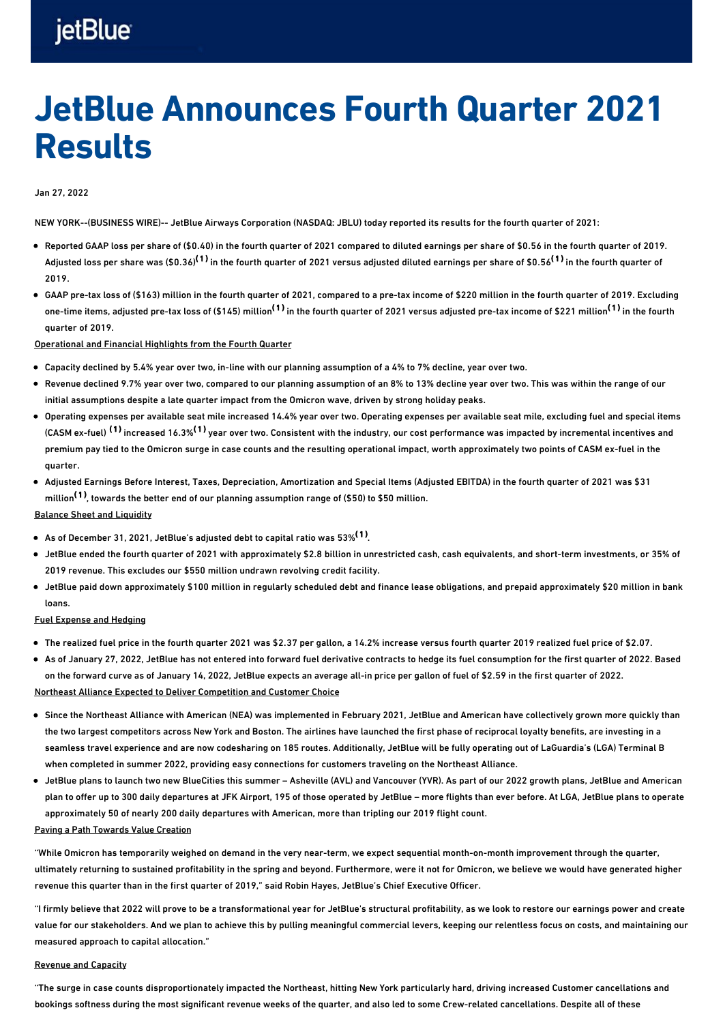## jetBlue

# JetBlue Announces Fourth Quarter 2021 Results

## Jan 27, 2022

NEW YORK--(BUSINESS WIRE)-- JetBlue Airways Corporation (NASDAQ: JBLU) today reported its results for the fourth quarter of 2021:

- Reported GAAP loss per share of (\$0.40) in the fourth quarter of 2021 compared to diluted earnings per share of \$0.56 in the fourth quarter of 2019. Adjusted loss per share was (\$0.36)<sup>(1)</sup> in the fourth quarter of 2021 versus adjusted diluted earnings per share of \$0.56<sup>(1)</sup> in the fourth quarter of 2019.
- GAAP pre-tax loss of (\$163) million in the fourth quarter of 2021, compared to a pre-tax income of \$220 million in the fourth quarter of 2019. Excluding one-time items, adjusted pre-tax loss of (\$145) million<sup>(1)</sup> in the fourth quarter of 2021 versus adjusted pre-tax income of \$221 million<sup>(1)</sup> in the fourth quarter of 2019.

Operational and Financial Highlights from the Fourth Quarter

- Capacity declined by 5.4% year over two, in-line with our planning assumption of a 4% to 7% decline, year over two.
- Revenue declined 9.7% year over two, compared to our planning assumption of an 8% to 13% decline year over two. This was within the range of our initial assumptions despite a late quarter impact from the Omicron wave, driven by strong holiday peaks.
- Operating expenses per available seat mile increased 14.4% year over two. Operating expenses per available seat mile, excluding fuel and special items (CASM ex-fuel)  $^{(1)}$  increased 16.3% $^{(1)}$  year over two. Consistent with the industry, our cost performance was impacted by incremental incentives and premium pay tied to the Omicron surge in case counts and the resulting operational impact, worth approximately two points of CASM ex-fuel in the quarter.
- Adjusted Earnings Before Interest, Taxes, Depreciation, Amortization and Special Items (Adjusted EBITDA) in the fourth quarter of 2021 was \$31 million<sup>(1)</sup>, towards the better end of our planning assumption range of (\$50) to \$50 million.

### Balance Sheet and Liquidity

- As of December 31, 2021, JetBlue's adjusted debt to capital ratio was 53%  $^\mathrm{(1)}$ .
- JetBlue ended the fourth quarter of 2021 with approximately \$2.8 billion in unrestricted cash, cash equivalents, and short-term investments, or 35% of 2019 revenue. This excludes our \$550 million undrawn revolving credit facility.
- JetBlue paid down approximately \$100 million in regularly scheduled debt and finance lease obligations, and prepaid approximately \$20 million in bank loans.

### Fuel Expense and Hedging

- The realized fuel price in the fourth quarter 2021 was \$2.37 per gallon, a 14.2% increase versus fourth quarter 2019 realized fuel price of \$2.07.
- As of January 27, 2022, JetBlue has not entered into forward fuel derivative contracts to hedge its fuel consumption for the first quarter of 2022. Based on the forward curve as of January 14, 2022, JetBlue expects an average all-in price per gallon of fuel of \$2.59 in the first quarter of 2022. Northeast Alliance Expected to Deliver Competition and Customer Choice
- Since the Northeast Alliance with American (NEA) was implemented in February 2021, JetBlue and American have collectively grown more quickly than the two largest competitors across New York and Boston. The airlines have launched the first phase of reciprocal loyalty benefits, are investing in a seamless travel experience and are now codesharing on 185 routes. Additionally, JetBlue will be fully operating out of LaGuardia's (LGA) Terminal B when completed in summer 2022, providing easy connections for customers traveling on the Northeast Alliance.
- JetBlue plans to launch two new BlueCities this summer Asheville (AVL) and Vancouver (YVR). As part of our 2022 growth plans, JetBlue and American plan to offer up to 300 daily departures at JFK Airport, 195 of those operated by JetBlue – more flights than ever before. At LGA, JetBlue plans to operate approximately 50 of nearly 200 daily departures with American, more than tripling our 2019 flight count.

## Paving a Path Towards Value Creation

"While Omicron has temporarily weighed on demand in the very near-term, we expect sequential month-on-month improvement through the quarter, ultimately returning to sustained profitability in the spring and beyond. Furthermore, were it not for Omicron, we believe we would have generated higher revenue this quarter than in the first quarter of 2019," said Robin Hayes, JetBlue's Chief Executive Officer.

"I firmly believe that 2022 will prove to be a transformational year for JetBlue's structural profitability, as we look to restore our earnings power and create value for our stakeholders. And we plan to achieve this by pulling meaningful commercial levers, keeping our relentless focus on costs, and maintaining our measured approach to capital allocation."

### Revenue and Capacity

"The surge in case counts disproportionately impacted the Northeast, hitting New York particularly hard, driving increased Customer cancellations and bookings softness during the most significant revenue weeks of the quarter, and also led to some Crew-related cancellations. Despite all of these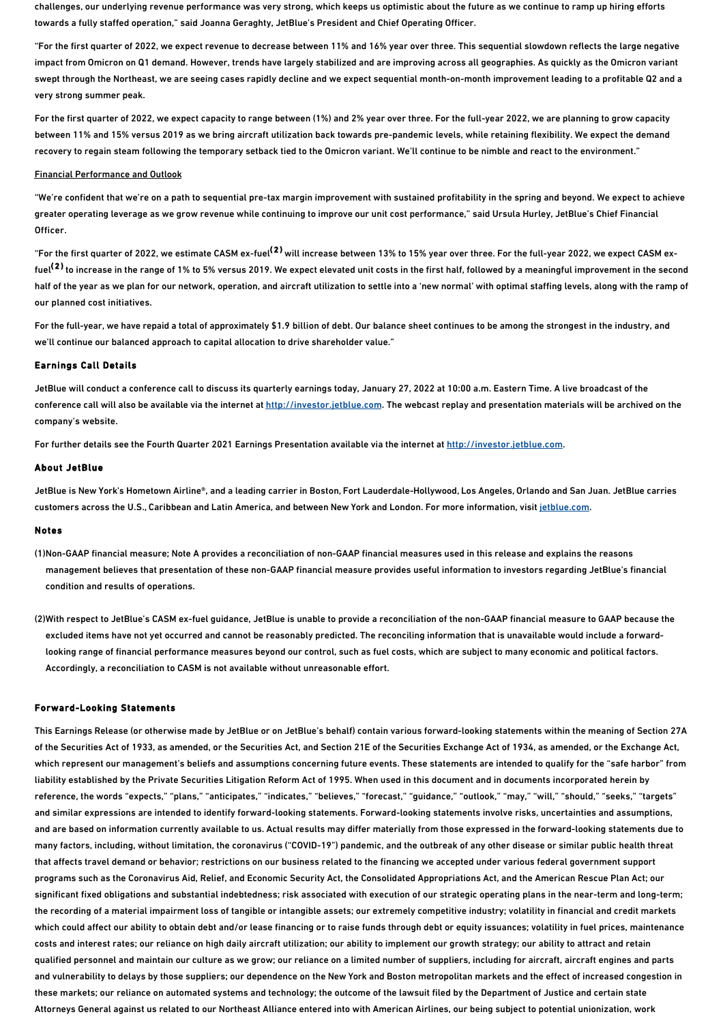challenges, our underlying revenue performance was very strong, which keeps us optimistic about the future as we continue to ramp up hiring efforts towards a fully staffed operation," said Joanna Geraghty, JetBlue's President and Chief Operating Officer.

"For the first quarter of 2022, we expect revenue to decrease between 11% and 16% year over three. This sequential slowdown reflects the large negative impact from Omicron on Q1 demand. However, trends have largely stabilized and are improving across all geographies. As quickly as the Omicron variant swept through the Northeast, we are seeing cases rapidly decline and we expect sequential month-on-month improvement leading to a profitable Q2 and a very strong summer peak.

For the first quarter of 2022, we expect capacity to range between (1%) and 2% year over three. For the full-year 2022, we are planning to grow capacity between 11% and 15% versus 2019 as we bring aircraft utilization back towards pre-pandemic levels, while retaining flexibility. We expect the demand recovery to regain steam following the temporary setback tied to the Omicron variant. We'll continue to be nimble and react to the environment."

#### Financial Performance and Outlook

"We're confident that we're on a path to sequential pre-tax margin improvement with sustained profitability in the spring and beyond. We expect to achieve greater operating leverage as we grow revenue while continuing to improve our unit cost performance," said Ursula Hurley, JetBlue's Chief Financial Officer.

"For the first quarter of 2022, we estimate CASM ex-fuel<sup>(2)</sup> will increase between 13% to 15% year over three. For the full-year 2022, we expect CASM exfuel<sup>(2)</sup> to increase in the range of 1% to 5% versus 2019. We expect elevated unit costs in the first half, followed by a meaningful improvement in the second half of the year as we plan for our network, operation, and aircraft utilization to settle into a 'new normal' with optimal staffing levels, along with the ramp of our planned cost initiatives.

For the full-year, we have repaid a total of approximately \$1.9 billion of debt. Our balance sheet continues to be among the strongest in the industry, and we'll continue our balanced approach to capital allocation to drive shareholder value."

### Earnings Call Details

JetBlue will conduct a conference call to discuss its quarterly earnings today, January 27, 2022 at 10:00 a.m. Eastern Time. A live broadcast of the conference call will also be available via the internet at [http://investor.jetblue.com](https://cts.businesswire.com/ct/CT?id=smartlink&url=http%3A%2F%2Finvestor.jetblue.com&esheet=52569575&newsitemid=20220127005349&lan=en-US&anchor=http%3A%2F%2Finvestor.jetblue.com&index=1&md5=6e60ce3b6d9ee5d35784ee97e80ceb2d). The webcast replay and presentation materials will be archived on the company's website.

For further details see the Fourth Quarter 2021 Earnings Presentation available via the internet at [http://investor.jetblue.com](https://cts.businesswire.com/ct/CT?id=smartlink&url=http%3A%2F%2Finvestor.jetblue.com&esheet=52569575&newsitemid=20220127005349&lan=en-US&anchor=http%3A%2F%2Finvestor.jetblue.com&index=2&md5=88506dc28578f2009e16337f948b4ebe).

#### About JetBlue

JetBlue is New York's Hometown Airline®, and a leading carrier in Boston, Fort Lauderdale-Hollywood, Los Angeles, Orlando and San Juan. JetBlue carries customers across the U.S., Caribbean and Latin America, and between New York and London. For more information, visit [jetblue.com](https://cts.businesswire.com/ct/CT?id=smartlink&url=https%3A%2F%2Fwww.jetblue.com%2F&esheet=52569575&newsitemid=20220127005349&lan=en-US&anchor=jetblue.com&index=3&md5=c2bdefc27f147f542b02e72e621cbf4e).

#### Notes

- (1)Non-GAAP financial measure; Note A provides a reconciliation of non-GAAP financial measures used in this release and explains the reasons management believes that presentation of these non-GAAP financial measure provides useful information to investors regarding JetBlue's financial condition and results of operations.
- (2)With respect to JetBlue's CASM ex-fuel guidance, JetBlue is unable to provide a reconciliation of the non-GAAP financial measure to GAAP because the excluded items have not yet occurred and cannot be reasonably predicted. The reconciling information that is unavailable would include a forwardlooking range of financial performance measures beyond our control, such as fuel costs, which are subject to many economic and political factors. Accordingly, a reconciliation to CASM is not available without unreasonable effort.

#### Forward-Looking Statements

This Earnings Release (or otherwise made by JetBlue or on JetBlue's behalf) contain various forward-looking statements within the meaning of Section 27A of the Securities Act of 1933, as amended, or the Securities Act, and Section 21E of the Securities Exchange Act of 1934, as amended, or the Exchange Act, which represent our management's beliefs and assumptions concerning future events. These statements are intended to qualify for the "safe harbor" from liability established by the Private Securities Litigation Reform Act of 1995. When used in this document and in documents incorporated herein by reference, the words "expects," "plans," "anticipates," "indicates," "believes," "forecast," "guidance," "outlook," "may," "will," "should," "seeks," "targets" and similar expressions are intended to identify forward-looking statements. Forward-looking statements involve risks, uncertainties and assumptions, and are based on information currently available to us. Actual results may differ materially from those expressed in the forward-looking statements due to many factors, including, without limitation, the coronavirus ("COVID-19") pandemic, and the outbreak of any other disease or similar public health threat that affects travel demand or behavior; restrictions on our business related to the financing we accepted under various federal government support programs such as the Coronavirus Aid, Relief, and Economic Security Act, the Consolidated Appropriations Act, and the American Rescue Plan Act; our significant fixed obligations and substantial indebtedness; risk associated with execution of our strategic operating plans in the near-term and long-term; the recording of a material impairment loss of tangible or intangible assets; our extremely competitive industry; volatility in financial and credit markets which could affect our ability to obtain debt and/or lease financing or to raise funds through debt or equity issuances; volatility in fuel prices, maintenance costs and interest rates; our reliance on high daily aircraft utilization; our ability to implement our growth strategy; our ability to attract and retain qualified personnel and maintain our culture as we grow; our reliance on a limited number of suppliers, including for aircraft, aircraft engines and parts and vulnerability to delays by those suppliers; our dependence on the New York and Boston metropolitan markets and the effect of increased congestion in these markets; our reliance on automated systems and technology; the outcome of the lawsuit filed by the Department of Justice and certain state Attorneys General against us related to our Northeast Alliance entered into with American Airlines, our being subject to potential unionization, work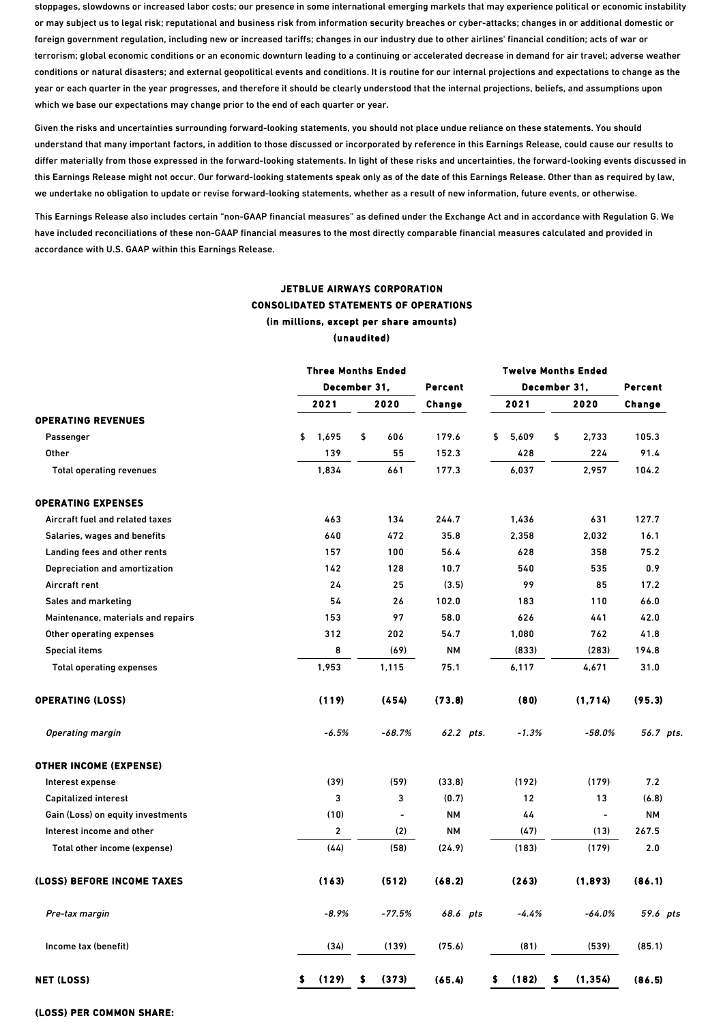stoppages, slowdowns or increased labor costs; our presence in some international emerging markets that may experience political or economic instability or may subject us to legal risk; reputational and business risk from information security breaches or cyber-attacks; changes in or additional domestic or foreign government regulation, including new or increased tariffs; changes in our industry due to other airlines' financial condition; acts of war or terrorism; global economic conditions or an economic downturn leading to a continuing or accelerated decrease in demand for air travel; adverse weather conditions or natural disasters; and external geopolitical events and conditions. It is routine for our internal projections and expectations to change as the year or each quarter in the year progresses, and therefore it should be clearly understood that the internal projections, beliefs, and assumptions upon which we base our expectations may change prior to the end of each quarter or year.

Given the risks and uncertainties surrounding forward-looking statements, you should not place undue reliance on these statements. You should understand that many important factors, in addition to those discussed or incorporated by reference in this Earnings Release, could cause our results to differ materially from those expressed in the forward-looking statements. In light of these risks and uncertainties, the forward-looking events discussed in this Earnings Release might not occur. Our forward-looking statements speak only as of the date of this Earnings Release. Other than as required by law, we undertake no obligation to update or revise forward-looking statements, whether as a result of new information, future events, or otherwise.

This Earnings Release also includes certain "non-GAAP financial measures" as defined under the Exchange Act and in accordance with Regulation G. We have included reconciliations of these non-GAAP financial measures to the most directly comparable financial measures calculated and provided in accordance with U.S. GAAP within this Earnings Release.

## JETBLUE AIRWAYS CORPORATION CONSOLIDATED STATEMENTS OF OPERATIONS (in millions, except per share amounts) (unaudited)

|                                    |     | <b>Three Months Ended</b> |                |           | <b>Twelve Months Ended</b> |                |           |
|------------------------------------|-----|---------------------------|----------------|-----------|----------------------------|----------------|-----------|
|                                    |     | December 31,              |                | Percent   | December 31,               |                | Percent   |
|                                    |     | 2021                      | 2020           | Change    | 2021                       | 2020           | Change    |
| <b>OPERATING REVENUES</b>          |     |                           |                |           |                            |                |           |
| Passenger                          | \$  | 1,695                     | \$<br>606      | 179.6     | \$<br>5,609                | \$<br>2,733    | 105.3     |
| <b>Other</b>                       |     | 139                       | 55             | 152.3     | 428                        | 224            | 91.4      |
| <b>Total operating revenues</b>    |     | 1,834                     | 661            | 177.3     | 6,037                      | 2,957          | 104.2     |
| <b>OPERATING EXPENSES</b>          |     |                           |                |           |                            |                |           |
| Aircraft fuel and related taxes    |     | 463                       | 134            | 244.7     | 1,436                      | 631            | 127.7     |
| Salaries, wages and benefits       |     | 640                       | 472            | 35.8      | 2,358                      | 2,032          | 16.1      |
| Landing fees and other rents       |     | 157                       | 100            | 56.4      | 628                        | 358            | 75.2      |
| Depreciation and amortization      |     | 142                       | 128            | 10.7      | 540                        | 535            | 0.9       |
| Aircraft rent                      |     | 24                        | 25             | (3.5)     | 99                         | 85             | 17.2      |
| Sales and marketing                |     | 54                        | 26             | 102.0     | 183                        | 110            | 66.0      |
| Maintenance, materials and repairs |     | 153                       | 97             | 58.0      | 626                        | 441            | 42.0      |
| Other operating expenses           |     | 312                       | 202            | 54.7      | 1,080                      | 762            | 41.8      |
| <b>Special items</b>               |     | 8                         | (69)           | <b>NM</b> | (833)                      | (283)          | 194.8     |
| <b>Total operating expenses</b>    |     | 1,953                     | 1,115          | 75.1      | 6,117                      | 4,671          | 31.0      |
| <b>OPERATING (LOSS)</b>            |     | (119)                     | (454)          | (73.8)    | (80)                       | (1, 714)       | (95.3)    |
| <b>Operating margin</b>            |     | $-6.5%$                   | $-68.7%$       | 62.2 pts. | $-1.3%$                    | $-58.0%$       | 56.7 pts. |
| <b>OTHER INCOME (EXPENSE)</b>      |     |                           |                |           |                            |                |           |
| Interest expense                   |     | (39)                      | (59)           | (33.8)    | (192)                      | (179)          | 7.2       |
| Capitalized interest               |     | 3                         | 3              | (0.7)     | 12                         | 13             | (6.8)     |
| Gain (Loss) on equity investments  |     | (10)                      | $\overline{a}$ | <b>NM</b> | 44                         | $\blacksquare$ | <b>NM</b> |
| Interest income and other          |     | $\overline{\mathbf{c}}$   | (2)            | <b>NM</b> | (47)                       | (13)           | 267.5     |
| Total other income (expense)       |     | (44)                      | (58)           | (24.9)    | (183)                      | (179)          | 2.0       |
| (LOSS) BEFORE INCOME TAXES         |     | (163)                     | (512)          | (68.2)    | (263)                      | (1,893)        | (86.1)    |
| Pre-tax margin                     |     | $-8.9%$                   | $-77.5%$       | 68.6 pts  | $-4.4%$                    | $-64.0%$       | 59.6 pts  |
| Income tax (benefit)               |     | (34)                      | (139)          | (75.6)    | (81)                       | (539)          | (85.1)    |
| <b>NET (LOSS)</b>                  | \$. | (129)                     | \$<br>(373)    | (65.4)    | \$<br>(182)                | \$<br>(1, 354) | (86.5)    |

### (LOSS) PER COMMON SHARE: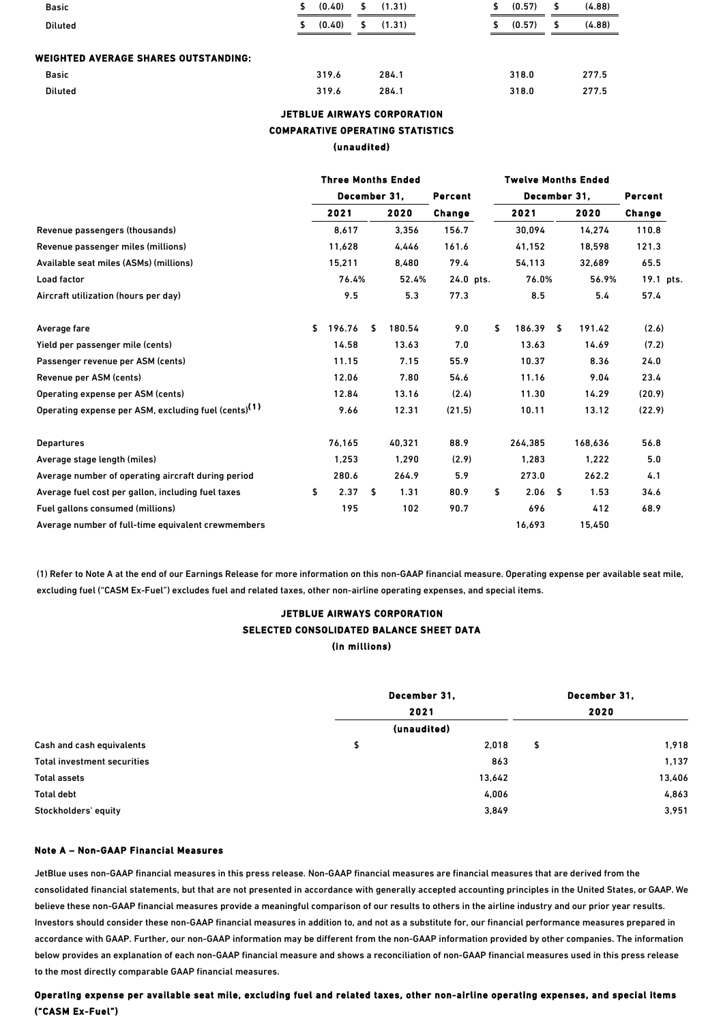| <b>Basic</b>                         | S. | (0.40) | \$<br>(1.31) |    | (0.57) | (4.88) |
|--------------------------------------|----|--------|--------------|----|--------|--------|
| <b>Diluted</b>                       | S. | (0.40) | \$<br>(1.31) | \$ | (0.57) | (4.88) |
|                                      |    |        |              |    |        |        |
| WEIGHTED AVERAGE SHARES OUTSTANDING: |    |        |              |    |        |        |
| <b>Basic</b>                         |    | 319.6  | 284.1        |    | 318.0  | 277.5  |

Diluted 319.6 284.1 318.0 277.5

## JETBLUE AIRWAYS CORPORATION COMPARATIVE OPERATING STATISTICS (unaudited)

|                                                                  | <b>Three Months Ended</b> |              |       |        |           |     | <b>Twelve Months Ended</b> |    |         |           |  |  |
|------------------------------------------------------------------|---------------------------|--------------|-------|--------|-----------|-----|----------------------------|----|---------|-----------|--|--|
|                                                                  |                           | December 31, |       |        | Percent   |     | December 31,               |    | Percent |           |  |  |
|                                                                  |                           | 2021         |       | 2020   | Change    |     | 2021                       |    | 2020    | Change    |  |  |
| Revenue passengers (thousands)                                   | 8,617                     |              | 3,356 |        | 156.7     |     | 30,094                     |    | 14,274  | 110.8     |  |  |
| Revenue passenger miles (millions)                               |                           | 11,628       |       | 4,446  | 161.6     |     | 41,152                     |    |         | 121.3     |  |  |
| Available seat miles (ASMs) (millions)                           | 15,211                    |              |       | 8,480  | 79.4      |     | 54,113                     |    | 32,689  | 65.5      |  |  |
| Load factor                                                      | 76.4%                     |              |       | 52.4%  | 24.0 pts. |     | 76.0%                      |    | 56.9%   | 19.1 pts. |  |  |
| Aircraft utilization (hours per day)                             |                           | 9.5<br>5.3   |       | 77.3   |           | 8.5 |                            |    | 57.4    |           |  |  |
| Average fare                                                     | \$                        | 196.76       | \$    | 180.54 | 9.0       | \$  | 186.39                     | \$ | 191.42  | (2.6)     |  |  |
| Yield per passenger mile (cents)                                 |                           | 14.58        |       | 13.63  | 7.0       |     | 13.63                      |    | 14.69   | (7.2)     |  |  |
| Passenger revenue per ASM (cents)                                |                           | 11.15        |       | 7.15   | 55.9      |     | 10.37                      |    | 8.36    | 24.0      |  |  |
| Revenue per ASM (cents)                                          |                           | 12.06        |       | 7.80   | 54.6      |     | 11.16                      |    | 9.04    | 23.4      |  |  |
| Operating expense per ASM (cents)                                |                           | 12.84        |       | 13.16  | (2.4)     |     | 11.30                      |    | 14.29   | (20.9)    |  |  |
| Operating expense per ASM, excluding fuel (cents) <sup>(1)</sup> |                           | 9.66         |       | 12.31  | (21.5)    |     | 10.11                      |    | 13.12   | (22.9)    |  |  |
| <b>Departures</b>                                                |                           | 76,165       |       | 40,321 | 88.9      |     | 264,385                    |    | 168,636 | 56.8      |  |  |
| Average stage length (miles)                                     |                           | 1,253        |       | 1,290  | (2.9)     |     | 1,283                      |    | 1,222   | 5.0       |  |  |
| Average number of operating aircraft during period               |                           | 280.6        |       | 264.9  | 5.9       |     | 273.0                      |    | 262.2   | 4.1       |  |  |
| Average fuel cost per gallon, including fuel taxes               | \$                        | 2.37         | \$    | 1.31   | 80.9      | \$  | 2.06 <sub>5</sub>          |    | 1.53    | 34.6      |  |  |
| Fuel gallons consumed (millions)                                 |                           | 195          |       | 102    | 90.7      |     | 696                        |    | 412     | 68.9      |  |  |
| Average number of full-time equivalent crewmembers               |                           |              |       |        |           |     | 16,693                     |    | 15,450  |           |  |  |

(1) Refer to Note A at the end of our Earnings Release for more information on this non-GAAP financial measure. Operating expense per available seat mile, excluding fuel ("CASM Ex-Fuel") excludes fuel and related taxes, other non-airline operating expenses, and special items.

## JETBLUE AIRWAYS CORPORATION SELECTED CONSOLIDATED BALANCE SHEET DATA (in millions)

|                             | December 31, | December 31. |
|-----------------------------|--------------|--------------|
|                             | 2021         | 2020         |
|                             | (unaudited)  |              |
| Cash and cash equivalents   | \$<br>2,018  | \$<br>1,918  |
| Total investment securities | 863          | 1,137        |
| <b>Total assets</b>         | 13,642       | 13,406       |
| <b>Total debt</b>           | 4,006        | 4,863        |
| Stockholders' equity        | 3,849        | 3,951        |

## Note A – Non-GAAP Financial Measures

JetBlue uses non-GAAP financial measures in this press release. Non-GAAP financial measures are financial measures that are derived from the consolidated financial statements, but that are not presented in accordance with generally accepted accounting principles in the United States, or GAAP. We believe these non-GAAP financial measures provide a meaningful comparison of our results to others in the airline industry and our prior year results. Investors should consider these non-GAAP financial measures in addition to, and not as a substitute for, our financial performance measures prepared in accordance with GAAP. Further, our non-GAAP information may be different from the non-GAAP information provided by other companies. The information below provides an explanation of each non-GAAP financial measure and shows a reconciliation of non-GAAP financial measures used in this press release to the most directly comparable GAAP financial measures.

## Operating expense per available seat mile, excluding fuel and related taxes, other non-airline operating expenses, and special items ("CASM Ex-Fuel")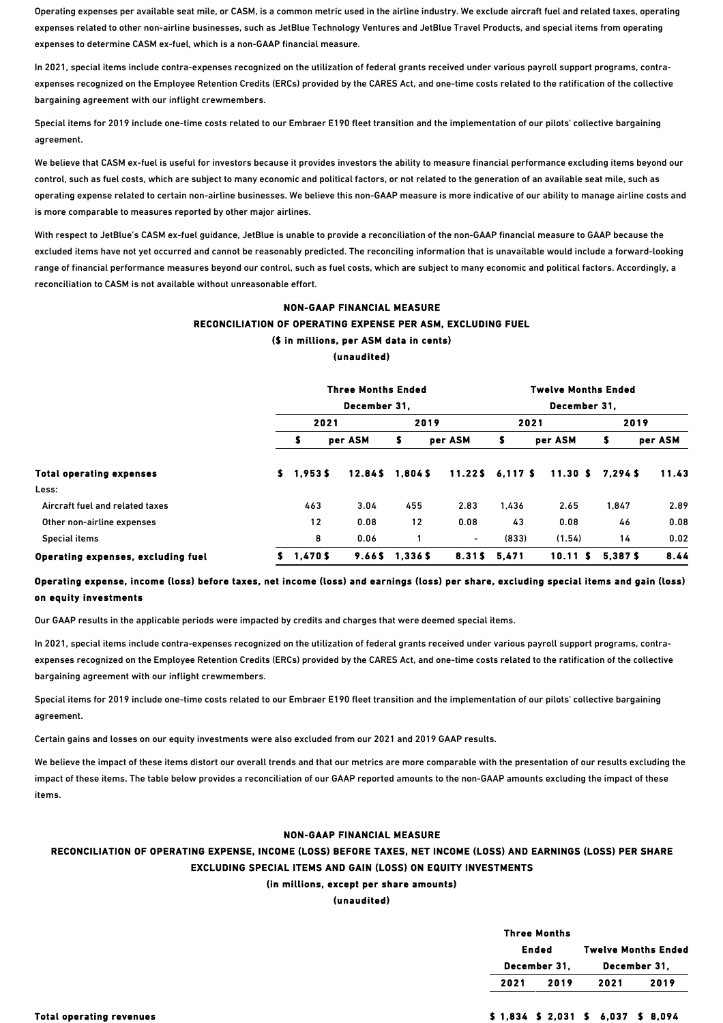Operating expenses per available seat mile, or CASM, is a common metric used in the airline industry. We exclude aircraft fuel and related taxes, operating expenses related to other non-airline businesses, such as JetBlue Technology Ventures and JetBlue Travel Products, and special items from operating expenses to determine CASM ex-fuel, which is a non-GAAP financial measure.

In 2021, special items include contra-expenses recognized on the utilization of federal grants received under various payroll support programs, contraexpenses recognized on the Employee Retention Credits (ERCs) provided by the CARES Act, and one-time costs related to the ratification of the collective bargaining agreement with our inflight crewmembers.

Special items for 2019 include one-time costs related to our Embraer E190 fleet transition and the implementation of our pilots' collective bargaining agreement.

We believe that CASM ex-fuel is useful for investors because it provides investors the ability to measure financial performance excluding items beyond our control, such as fuel costs, which are subject to many economic and political factors, or not related to the generation of an available seat mile, such as operating expense related to certain non-airline businesses. We believe this non-GAAP measure is more indicative of our ability to manage airline costs and is more comparable to measures reported by other major airlines.

With respect to JetBlue's CASM ex-fuel guidance, JetBlue is unable to provide a reconciliation of the non-GAAP financial measure to GAAP because the excluded items have not yet occurred and cannot be reasonably predicted. The reconciling information that is unavailable would include a forward-looking range of financial performance measures beyond our control, such as fuel costs, which are subject to many economic and political factors. Accordingly, a reconciliation to CASM is not available without unreasonable effort.

## NON-GAAP FINANCIAL MEASURE RECONCILIATION OF OPERATING EXPENSE PER ASM, EXCLUDING FUEL (\$ in millions, per ASM data in cents) (unaudited)

|                                    |    |         | <b>Three Months Ended</b> |        |         |              | <b>Twelve Months Ended</b> |            |         |  |
|------------------------------------|----|---------|---------------------------|--------|---------|--------------|----------------------------|------------|---------|--|
|                                    |    |         | December 31.              |        |         | December 31. |                            |            |         |  |
|                                    |    | 2021    |                           |        | 2019    | 2021         |                            | 2019       |         |  |
|                                    |    | 5       | per ASM                   | \$     | per ASM | s            | per ASM                    | 5          | per ASM |  |
| <b>Total operating expenses</b>    | s. | 1.953S  | 12.84S                    | 1.8045 | 11.225  | 6.117 \$     | 11.30 S                    | $7.294$ \$ | 11.43   |  |
| Less:                              |    |         |                           |        |         |              |                            |            |         |  |
| Aircraft fuel and related taxes    |    | 463     | 3.04                      | 455    | 2.83    | 1.436        | 2.65                       | 1,847      | 2.89    |  |
| Other non-airline expenses         |    | 12      | 0.08                      | 12     | 0.08    | 43           | 0.08                       | 46         | 0.08    |  |
| Special items                      |    | 8       | 0.06                      |        | $\sim$  | (833)        | (1.54)                     | 14         | 0.02    |  |
| Operating expenses, excluding fuel | S. | 1.470\$ | 9.665                     | 1.3365 | 8.31\$  | 5.471        | 10.11S                     | 5.387 \$   | 8.44    |  |

## Operating expense, income (loss) before taxes, net income (loss) and earnings (loss) per share, excluding special items and gain (loss) on equity investments

Our GAAP results in the applicable periods were impacted by credits and charges that were deemed special items.

In 2021, special items include contra-expenses recognized on the utilization of federal grants received under various payroll support programs, contraexpenses recognized on the Employee Retention Credits (ERCs) provided by the CARES Act, and one-time costs related to the ratification of the collective bargaining agreement with our inflight crewmembers.

Special items for 2019 include one-time costs related to our Embraer E190 fleet transition and the implementation of our pilots' collective bargaining agreement.

Certain gains and losses on our equity investments were also excluded from our 2021 and 2019 GAAP results.

We believe the impact of these items distort our overall trends and that our metrics are more comparable with the presentation of our results excluding the impact of these items. The table below provides a reconciliation of our GAAP reported amounts to the non-GAAP amounts excluding the impact of these items.

## NON-GAAP FINANCIAL MEASURE

## RECONCILIATION OF OPERATING EXPENSE, INCOME (LOSS) BEFORE TAXES, NET INCOME (LOSS) AND EARNINGS (LOSS) PER SHARE EXCLUDING SPECIAL ITEMS AND GAIN (LOSS) ON EQUITY INVESTMENTS

## (in millions, except per share amounts)

(unaudited)

|      | <b>Three Months</b> |      |                            |
|------|---------------------|------|----------------------------|
|      | Ended               |      | <b>Twelve Months Ended</b> |
|      | December 31,        |      | December 31,               |
| 2021 | 2019                | 2021 | 2019                       |
|      |                     |      |                            |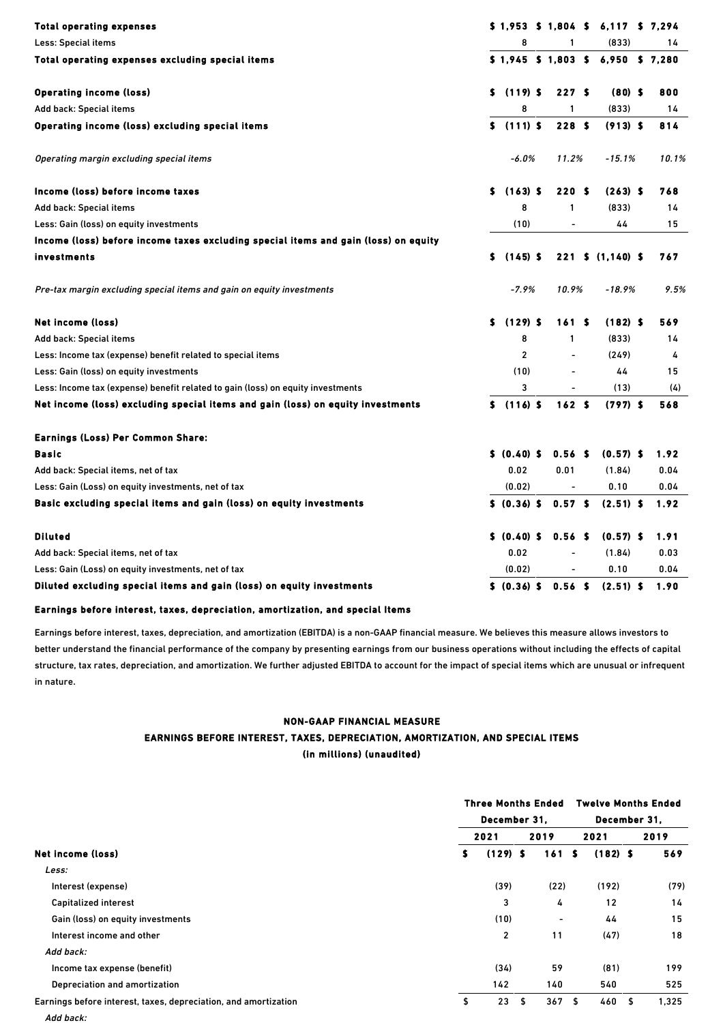| <b>Total operating expenses</b>                                                     |    |              |         | $$1,953$ \$ 1,804 \$     | 6,117 \$ 7,294                      |       |
|-------------------------------------------------------------------------------------|----|--------------|---------|--------------------------|-------------------------------------|-------|
| Less: Special items                                                                 |    |              | 8       | 1                        | (833)                               | 14    |
| Total operating expenses excluding special items                                    |    |              |         |                          | $$1,945$ \$ 1,803 \$ 6,950 \$ 7,280 |       |
| <b>Operating income (loss)</b>                                                      |    | $$(119)$ \$  |         | 227S                     | $(80)$ \$                           | 800   |
| Add back: Special items                                                             |    |              | 8       | 1                        | (833)                               | 14    |
| Operating income (loss) excluding special items                                     |    | $$(111)$ \$  |         | 228S                     | $(913)$ \$                          | 814   |
| Operating margin excluding special items                                            |    |              | $-6.0%$ | 11.2%                    | $-15.1%$                            | 10.1% |
| Income (loss) before income taxes                                                   | S. | $(163)$ \$   |         | 220S                     | $(263)$ \$                          | 768   |
| Add back: Special items                                                             |    |              | 8       | 1                        | (833)                               | 14    |
| Less: Gain (loss) on equity investments                                             |    | (10)         |         | ÷,                       | 44                                  | 15    |
| Income (loss) before income taxes excluding special items and gain (loss) on equity |    |              |         |                          |                                     |       |
| investments                                                                         | S. | $(145)$ \$   |         |                          | $221 \quad $ (1,140) \quad $$       | 767   |
| Pre-tax margin excluding special items and gain on equity investments               |    |              | $-7.9%$ | 10.9%                    | -18.9%                              | 9.5%  |
| Net income (loss)                                                                   |    | $$(129)$ \$  |         | 161S                     | $(182)$ \$                          | 569   |
| Add back: Special items                                                             |    |              | 8       | 1                        | (833)                               | 14    |
| Less: Income tax (expense) benefit related to special items                         |    |              | 2       | L,                       | (249)                               | 4     |
| Less: Gain (loss) on equity investments                                             |    | (10)         |         | $\blacksquare$           | 44                                  | 15    |
| Less: Income tax (expense) benefit related to gain (loss) on equity investments     |    |              | 3       |                          | (13)                                | (4)   |
| Net income (loss) excluding special items and gain (loss) on equity investments     |    | $$(116)$ S   |         | 162S                     | $(797)$ \$                          | 568   |
| Earnings (Loss) Per Common Share:                                                   |    |              |         |                          |                                     |       |
| Basic                                                                               |    | \$ (0.40) \$ |         | 0.56 <sub>5</sub>        | $(0.57)$ \$                         | 1.92  |
| Add back: Special items, net of tax                                                 |    | 0.02         |         | 0.01                     | (1.84)                              | 0.04  |
| Less: Gain (Loss) on equity investments, net of tax                                 |    | (0.02)       |         | $\overline{\phantom{a}}$ | 0.10                                | 0.04  |
| Basic excluding special items and gain (loss) on equity investments                 |    | \$ (0.36) \$ |         | 0.57 <sub>5</sub>        | $(2.51)$ \$                         | 1.92  |
| <b>Diluted</b>                                                                      |    | \$ (0.40) \$ |         | 0.56 <sub>5</sub>        | $(0.57)$ \$                         | 1.91  |
| Add back: Special items, net of tax                                                 |    | 0.02         |         |                          | (1.84)                              | 0.03  |
| Less: Gain (Loss) on equity investments, net of tax                                 |    | (0.02)       |         |                          | 0.10                                | 0.04  |
| Diluted excluding special items and gain (loss) on equity investments               |    | \$ (0.36) \$ |         | 0.56 <sub>5</sub>        | $(2.51)$ \$                         | 1.90  |

## Earnings before interest, taxes, depreciation, amortization, and special Items

Add back:

Earnings before interest, taxes, depreciation, and amortization (EBITDA) is a non-GAAP financial measure. We believes this measure allows investors to better understand the financial performance of the company by presenting earnings from our business operations without including the effects of capital structure, tax rates, depreciation, and amortization. We further adjusted EBITDA to account for the impact of special items which are unusual or infrequent in nature.

## NON-GAAP FINANCIAL MEASURE

## EARNINGS BEFORE INTEREST, TAXES, DEPRECIATION, AMORTIZATION, AND SPECIAL ITEMS (in millions) (unaudited)

|                                                                 | <b>Three Months Ended</b> |                |      |      |  | <b>Twelve Months Ended</b> |    |       |  |  |  |
|-----------------------------------------------------------------|---------------------------|----------------|------|------|--|----------------------------|----|-------|--|--|--|
|                                                                 | December 31,              |                |      |      |  | December 31,               |    |       |  |  |  |
|                                                                 |                           | 2021           |      | 2019 |  | 2021                       |    | 2019  |  |  |  |
| Net income (loss)                                               | s                         | $(129)$ \$     |      | 161S |  | $(182)$ \$                 |    | 569   |  |  |  |
| Less:                                                           |                           |                |      |      |  |                            |    |       |  |  |  |
| Interest (expense)                                              |                           | (39)           |      | (22) |  | (192)                      |    | (79)  |  |  |  |
| Capitalized interest                                            |                           | 3              |      | 4    |  | 12                         |    | 14    |  |  |  |
| Gain (loss) on equity investments                               |                           | (10)           |      | ٠    |  | 44                         |    | 15    |  |  |  |
| Interest income and other                                       |                           | $\overline{c}$ |      | 11   |  | (47)                       |    | 18    |  |  |  |
| Add back:                                                       |                           |                |      |      |  |                            |    |       |  |  |  |
| Income tax expense (benefit)                                    |                           | (34)           |      | 59   |  | (81)                       |    | 199   |  |  |  |
| Depreciation and amortization                                   |                           | 142            |      | 140  |  | 540                        |    | 525   |  |  |  |
| Earnings before interest, taxes, depreciation, and amortization | \$                        | 23             | - \$ | 367S |  | 460                        | Ŝ. | 1.325 |  |  |  |